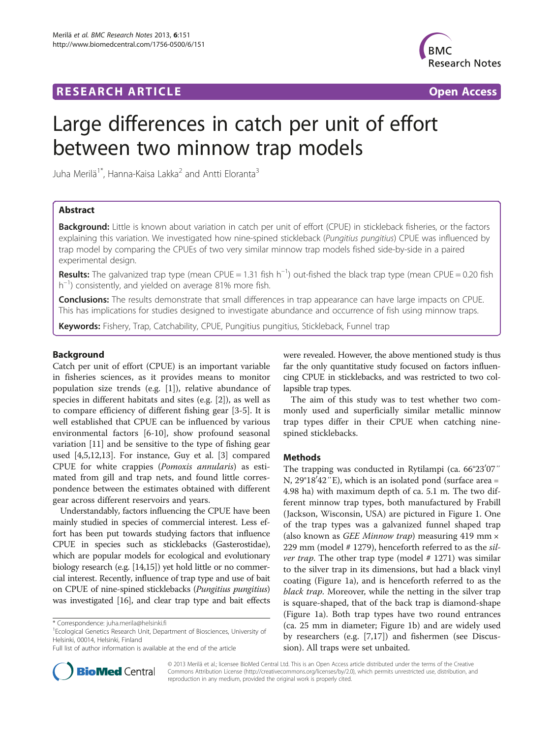## **RESEARCH ARTICLE Example 2014 CONSIDERING A RESEARCH ARTICLE**



# Large differences in catch per unit of effort between two minnow trap models

Juha Merilä<sup>1\*</sup>, Hanna-Kaisa Lakka<sup>2</sup> and Antti Eloranta<sup>3</sup>

## Abstract

Background: Little is known about variation in catch per unit of effort (CPUE) in stickleback fisheries, or the factors explaining this variation. We investigated how nine-spined stickleback (Pungitius pungitius) CPUE was influenced by trap model by comparing the CPUEs of two very similar minnow trap models fished side-by-side in a paired experimental design.

Results: The galvanized trap type (mean CPUE = 1.31 fish  $h^{-1}$ ) out-fished the black trap type (mean CPUE = 0.20 fish h<sup>-1</sup>) consistently, and yielded on average 81% more fish.

**Conclusions:** The results demonstrate that small differences in trap appearance can have large impacts on CPUE. This has implications for studies designed to investigate abundance and occurrence of fish using minnow traps.

Keywords: Fishery, Trap, Catchability, CPUE, Pungitius pungitius, Stickleback, Funnel trap

## Background

Catch per unit of effort (CPUE) is an important variable in fisheries sciences, as it provides means to monitor population size trends (e.g. [[1\]](#page-3-0)), relative abundance of species in different habitats and sites (e.g. [[2\]](#page-3-0)), as well as to compare efficiency of different fishing gear [\[3](#page-3-0)-[5\]](#page-3-0). It is well established that CPUE can be influenced by various environmental factors [\[6](#page-3-0)-[10\]](#page-3-0), show profound seasonal variation [[11\]](#page-3-0) and be sensitive to the type of fishing gear used [\[4,5,12,13\]](#page-3-0). For instance, Guy et al. [\[3](#page-3-0)] compared CPUE for white crappies (Pomoxis annularis) as estimated from gill and trap nets, and found little correspondence between the estimates obtained with different gear across different reservoirs and years.

Understandably, factors influencing the CPUE have been mainly studied in species of commercial interest. Less effort has been put towards studying factors that influence CPUE in species such as sticklebacks (Gasterostidae), which are popular models for ecological and evolutionary biology research (e.g. [\[14,15](#page-3-0)]) yet hold little or no commercial interest. Recently, influence of trap type and use of bait on CPUE of nine-spined sticklebacks (Pungitius pungitius) was investigated [[16](#page-3-0)], and clear trap type and bait effects



The aim of this study was to test whether two commonly used and superficially similar metallic minnow trap types differ in their CPUE when catching ninespined sticklebacks.

#### **Methods**

The trapping was conducted in Rytilampi (ca. 66°23'07"  $N$ , 29°18'42"E), which is an isolated pond (surface area = 4.98 ha) with maximum depth of ca. 5.1 m. The two different minnow trap types, both manufactured by Frabill (Jackson, Wisconsin, USA) are pictured in Figure [1.](#page-1-0) One of the trap types was a galvanized funnel shaped trap (also known as *GEE Minnow trap*) measuring 419 mm  $\times$ 229 mm (model # 1279), henceforth referred to as the *sil*ver trap. The other trap type (model  $# 1271$ ) was similar to the silver trap in its dimensions, but had a black vinyl coating (Figure [1a](#page-1-0)), and is henceforth referred to as the black trap. Moreover, while the netting in the silver trap is square-shaped, that of the back trap is diamond-shape (Figure [1](#page-1-0)a). Both trap types have two round entrances (ca. 25 mm in diameter; Figure [1b](#page-1-0)) and are widely used by researchers (e.g. [\[7,17](#page-3-0)]) and fishermen (see Discussion). All traps were set unbaited.



© 2013 Merilä et al.; licensee BioMed Central Ltd. This is an Open Access article distributed under the terms of the Creative Commons Attribution License [\(http://creativecommons.org/licenses/by/2.0\)](http://creativecommons.org/licenses/by/2.0), which permits unrestricted use, distribution, and reproduction in any medium, provided the original work is properly cited.

<sup>\*</sup> Correspondence: [juha.merila@helsinki.fi](mailto:juha.merila@helsinki.fi) <sup>1</sup>

<sup>&</sup>lt;sup>1</sup> Ecological Genetics Research Unit, Department of Biosciences, University of Helsinki, 00014, Helsinki, Finland

Full list of author information is available at the end of the article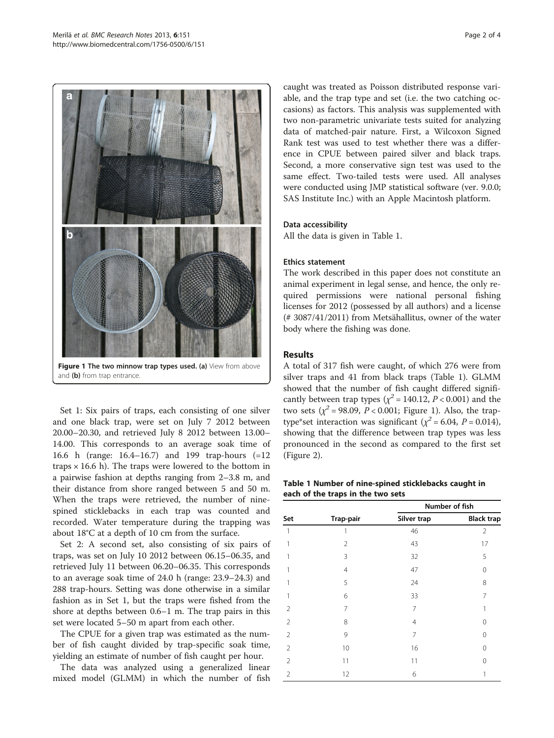<span id="page-1-0"></span>

Set 1: Six pairs of traps, each consisting of one silver and one black trap, were set on July 7 2012 between 20.00–20.30, and retrieved July 8 2012 between 13.00– 14.00. This corresponds to an average soak time of 16.6 h (range: 16.4–16.7) and 199 trap-hours (=12 traps  $\times$  16.6 h). The traps were lowered to the bottom in a pairwise fashion at depths ranging from 2–3.8 m, and their distance from shore ranged between 5 and 50 m. When the traps were retrieved, the number of ninespined sticklebacks in each trap was counted and recorded. Water temperature during the trapping was about 18°C at a depth of 10 cm from the surface.

Set 2: A second set, also consisting of six pairs of traps, was set on July 10 2012 between 06.15–06.35, and retrieved July 11 between 06.20–06.35. This corresponds to an average soak time of 24.0 h (range: 23.9–24.3) and 288 trap-hours. Setting was done otherwise in a similar fashion as in Set 1, but the traps were fished from the shore at depths between 0.6–1 m. The trap pairs in this set were located 5–50 m apart from each other.

The CPUE for a given trap was estimated as the number of fish caught divided by trap-specific soak time, yielding an estimate of number of fish caught per hour.

The data was analyzed using a generalized linear mixed model (GLMM) in which the number of fish caught was treated as Poisson distributed response variable, and the trap type and set (i.e. the two catching occasions) as factors. This analysis was supplemented with two non-parametric univariate tests suited for analyzing data of matched-pair nature. First, a Wilcoxon Signed Rank test was used to test whether there was a difference in CPUE between paired silver and black traps. Second, a more conservative sign test was used to the same effect. Two-tailed tests were used. All analyses were conducted using JMP statistical software (ver. 9.0.0; SAS Institute Inc.) with an Apple Macintosh platform.

#### Data accessibility

All the data is given in Table 1.

#### Ethics statement

The work described in this paper does not constitute an animal experiment in legal sense, and hence, the only required permissions were national personal fishing licenses for 2012 (possessed by all authors) and a license (# 3087/41/2011) from Metsähallitus, owner of the water body where the fishing was done.

## Results

A total of 317 fish were caught, of which 276 were from silver traps and 41 from black traps (Table 1). GLMM showed that the number of fish caught differed significantly between trap types ( $\chi^2$  = 140.12, *P* < 0.001) and the two sets ( $\chi^2$  = 98.09, *P* < 0.001; Figure 1). Also, the traptype\*set interaction was significant ( $\chi^2$  = 6.04, P = 0.014), showing that the difference between trap types was less pronounced in the second as compared to the first set (Figure [2\)](#page-2-0).

## Table 1 Number of nine-spined sticklebacks caught in each of the traps in the two sets

| Set            | Trap-pair      | Number of fish |                   |
|----------------|----------------|----------------|-------------------|
|                |                | Silver trap    | <b>Black trap</b> |
| 1              | 1              | 46             | $\overline{2}$    |
|                | $\overline{2}$ | 43             | 17                |
|                | 3              | 32             | 5                 |
|                | 4              | 47             | $\Omega$          |
|                | 5              | 24             | 8                 |
|                | 6              | 33             | 7                 |
| $\overline{2}$ | 7              | 7              |                   |
| $\overline{2}$ | 8              | $\overline{4}$ | $\Omega$          |
| $\overline{2}$ | 9              | $\overline{7}$ | 0                 |
| $\overline{2}$ | 10             | 16             | $\Omega$          |
| $\overline{2}$ | 11             | 11             | $\Omega$          |
| $\overline{2}$ | 12             | 6              |                   |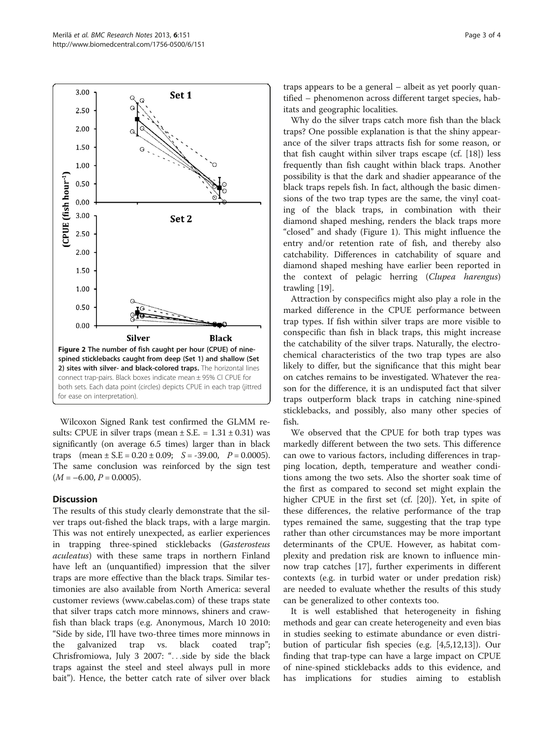<span id="page-2-0"></span>

Wilcoxon Signed Rank test confirmed the GLMM results: CPUE in silver traps (mean  $\pm$  S.E. = 1.31  $\pm$  0.31) was significantly (on average 6.5 times) larger than in black traps  $(\text{mean} \pm S.E = 0.20 \pm 0.09; S = -39.00, P = 0.0005).$ The same conclusion was reinforced by the sign test  $(M = -6.00, P = 0.0005).$ 

## **Discussion**

The results of this study clearly demonstrate that the silver traps out-fished the black traps, with a large margin. This was not entirely unexpected, as earlier experiences in trapping three-spined sticklebacks (Gasterosteus aculeatus) with these same traps in northern Finland have left an (unquantified) impression that the silver traps are more effective than the black traps. Similar testimonies are also available from North America: several customer reviews ([www.cabelas.com](http://www.cabelas.com/)) of these traps state that silver traps catch more minnows, shiners and crawfish than black traps (e.g. Anonymous, March 10 2010: "Side by side, I'll have two-three times more minnows in the galvanized trap vs. black coated trap"; Chrisfromiowa, July 3 2007: "...side by side the black traps against the steel and steel always pull in more bait"). Hence, the better catch rate of silver over black

traps appears to be a general – albeit as yet poorly quantified – phenomenon across different target species, habitats and geographic localities.

Why do the silver traps catch more fish than the black traps? One possible explanation is that the shiny appearance of the silver traps attracts fish for some reason, or that fish caught within silver traps escape (cf. [[18\]](#page-3-0)) less frequently than fish caught within black traps. Another possibility is that the dark and shadier appearance of the black traps repels fish. In fact, although the basic dimensions of the two trap types are the same, the vinyl coating of the black traps, in combination with their diamond shaped meshing, renders the black traps more "closed" and shady (Figure [1](#page-1-0)). This might influence the entry and/or retention rate of fish, and thereby also catchability. Differences in catchability of square and diamond shaped meshing have earlier been reported in the context of pelagic herring (Clupea harengus) trawling [\[19\]](#page-3-0).

Attraction by conspecifics might also play a role in the marked difference in the CPUE performance between trap types. If fish within silver traps are more visible to conspecific than fish in black traps, this might increase the catchability of the silver traps. Naturally, the electrochemical characteristics of the two trap types are also likely to differ, but the significance that this might bear on catches remains to be investigated. Whatever the reason for the difference, it is an undisputed fact that silver traps outperform black traps in catching nine-spined sticklebacks, and possibly, also many other species of fish.

We observed that the CPUE for both trap types was markedly different between the two sets. This difference can owe to various factors, including differences in trapping location, depth, temperature and weather conditions among the two sets. Also the shorter soak time of the first as compared to second set might explain the higher CPUE in the first set (cf. [\[20\]](#page-3-0)). Yet, in spite of these differences, the relative performance of the trap types remained the same, suggesting that the trap type rather than other circumstances may be more important determinants of the CPUE. However, as habitat complexity and predation risk are known to influence minnow trap catches [[17\]](#page-3-0), further experiments in different contexts (e.g. in turbid water or under predation risk) are needed to evaluate whether the results of this study can be generalized to other contexts too.

It is well established that heterogeneity in fishing methods and gear can create heterogeneity and even bias in studies seeking to estimate abundance or even distribution of particular fish species (e.g. [\[4,5](#page-3-0),[12](#page-3-0),[13](#page-3-0)]). Our finding that trap-type can have a large impact on CPUE of nine-spined sticklebacks adds to this evidence, and has implications for studies aiming to establish